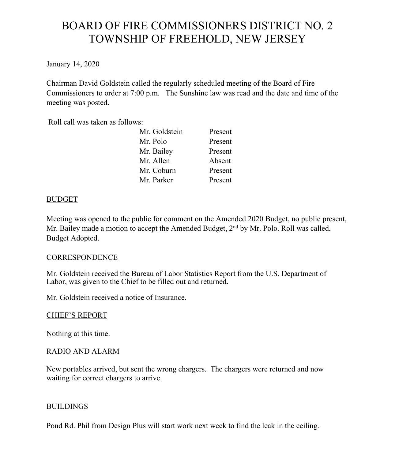# BOARD OF FIRE COMMISSIONERS DISTRICT NO. 2 TOWNSHIP OF FREEHOLD, NEW JERSEY

January 14, 2020

Chairman David Goldstein called the regularly scheduled meeting of the Board of Fire Commissioners to order at 7:00 p.m. The Sunshine law was read and the date and time of the meeting was posted.

Roll call was taken as follows:

| Mr. Goldstein | Present |
|---------------|---------|
| Mr. Polo      | Present |
| Mr. Bailey    | Present |
| Mr. Allen     | Absent  |
| Mr. Coburn    | Present |
| Mr. Parker    | Present |

# BUDGET

Meeting was opened to the public for comment on the Amended 2020 Budget, no public present, Mr. Bailey made a motion to accept the Amended Budget, 2<sup>nd</sup> by Mr. Polo. Roll was called, Budget Adopted.

# **CORRESPONDENCE**

Mr. Goldstein received the Bureau of Labor Statistics Report from the U.S. Department of Labor, was given to the Chief to be filled out and returned.

Mr. Goldstein received a notice of Insurance.

# CHIEF'S REPORT

Nothing at this time.

# RADIO AND ALARM

New portables arrived, but sent the wrong chargers. The chargers were returned and now waiting for correct chargers to arrive.

# BUILDINGS

Pond Rd. Phil from Design Plus will start work next week to find the leak in the ceiling.